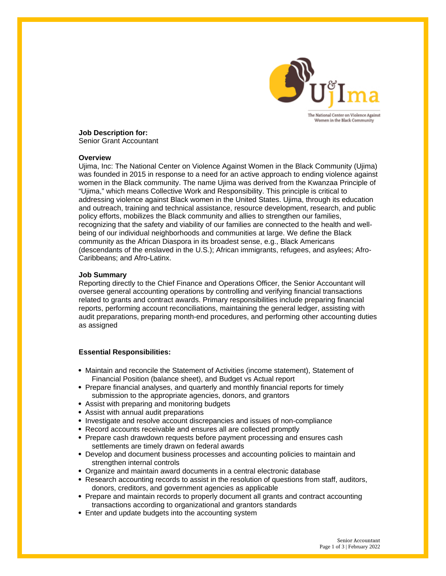

**Job Description for:** Senior Grant Accountant

#### **Overview**

Ujima, Inc: The National Center on Violence Against Women in the Black Community (Ujima) was founded in 2015 in response to a need for an active approach to ending violence against women in the Black community. The name Ujima was derived from the Kwanzaa Principle of "Ujima," which means Collective Work and Responsibility. This principle is critical to addressing violence against Black women in the United States. Ujima, through its education and outreach, training and technical assistance, resource development, research, and public policy efforts, mobilizes the Black community and allies to strengthen our families, recognizing that the safety and viability of our families are connected to the health and wellbeing of our individual neighborhoods and communities at large. We define the Black community as the African Diaspora in its broadest sense, e.g., Black Americans (descendants of the enslaved in the U.S.); African immigrants, refugees, and asylees; Afro-Caribbeans; and Afro-Latinx.

### **Job Summary**

Reporting directly to the Chief Finance and Operations Officer, the Senior Accountant will oversee general accounting operations by controlling and verifying financial transactions related to grants and contract awards. Primary responsibilities include preparing financial reports, performing account reconciliations, maintaining the general ledger, assisting with audit preparations, preparing month-end procedures, and performing other accounting duties as assigned

### **Essential Responsibilities:**

- Maintain and reconcile the Statement of Activities (income statement), Statement of Financial Position (balance sheet), and Budget vs Actual report
- Prepare financial analyses, and quarterly and monthly financial reports for timely submission to the appropriate agencies, donors, and grantors
- Assist with preparing and monitoring budgets
- Assist with annual audit preparations
- Investigate and resolve account discrepancies and issues of non-compliance
- Record accounts receivable and ensures all are collected promptly
- Prepare cash drawdown requests before payment processing and ensures cash settlements are timely drawn on federal awards
- Develop and document business processes and accounting policies to maintain and strengthen internal controls
- Organize and maintain award documents in a central electronic database
- Research accounting records to assist in the resolution of questions from staff, auditors, donors, creditors, and government agencies as applicable
- Prepare and maintain records to properly document all grants and contract accounting transactions according to organizational and grantors standards
- Enter and update budgets into the accounting system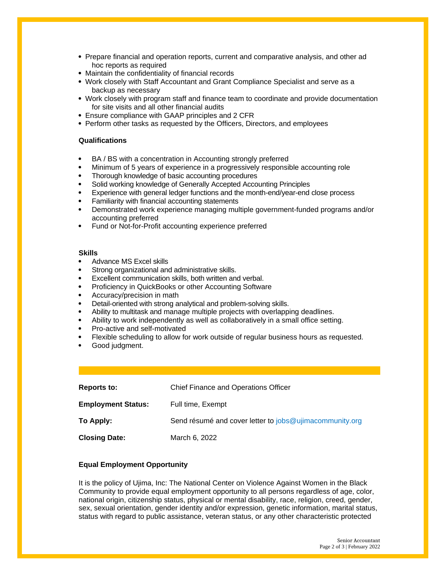- Prepare financial and operation reports, current and comparative analysis, and other ad hoc reports as required
- Maintain the confidentiality of financial records
- Work closely with Staff Accountant and Grant Compliance Specialist and serve as a backup as necessary
- Work closely with program staff and finance team to coordinate and provide documentation for site visits and all other financial audits
- Ensure compliance with GAAP principles and 2 CFR
- Perform other tasks as requested by the Officers, Directors, and employees

## **Qualifications**

- BA / BS with a concentration in Accounting strongly preferred
- Minimum of 5 years of experience in a progressively responsible accounting role
- Thorough knowledge of basic accounting procedures
- Solid working knowledge of Generally Accepted Accounting Principles
- Experience with general ledger functions and the month-end/year-end close process
- Familiarity with financial accounting statements
- Demonstrated work experience managing multiple government-funded programs and/or accounting preferred
- Fund or Not-for-Profit accounting experience preferred

## **Skills**

- Advance MS Excel skills
- Strong organizational and administrative skills.
- Excellent communication skills, both written and verbal.
- Proficiency in QuickBooks or other Accounting Software
- Accuracy/precision in math
- Detail-oriented with strong analytical and problem-solving skills.
- Ability to multitask and manage multiple projects with overlapping deadlines.
- Ability to work independently as well as collaboratively in a small office setting.
- Pro-active and self-motivated
- Flexible scheduling to allow for work outside of regular business hours as requested.
- Good judgment.

| Reports to:               | Chief Finance and Operations Officer                    |
|---------------------------|---------------------------------------------------------|
| <b>Employment Status:</b> | Full time, Exempt                                       |
| To Apply:                 | Send résumé and cover letter to jobs@ujimacommunity.org |
| <b>Closing Date:</b>      | March 6, 2022                                           |

# **Equal Employment Opportunity**

It is the policy of Ujima, Inc: The National Center on Violence Against Women in the Black Community to provide equal employment opportunity to all persons regardless of age, color, national origin, citizenship status, physical or mental disability, race, religion, creed, gender, sex, sexual orientation, gender identity and/or expression, genetic information, marital status, status with regard to public assistance, veteran status, or any other characteristic protected